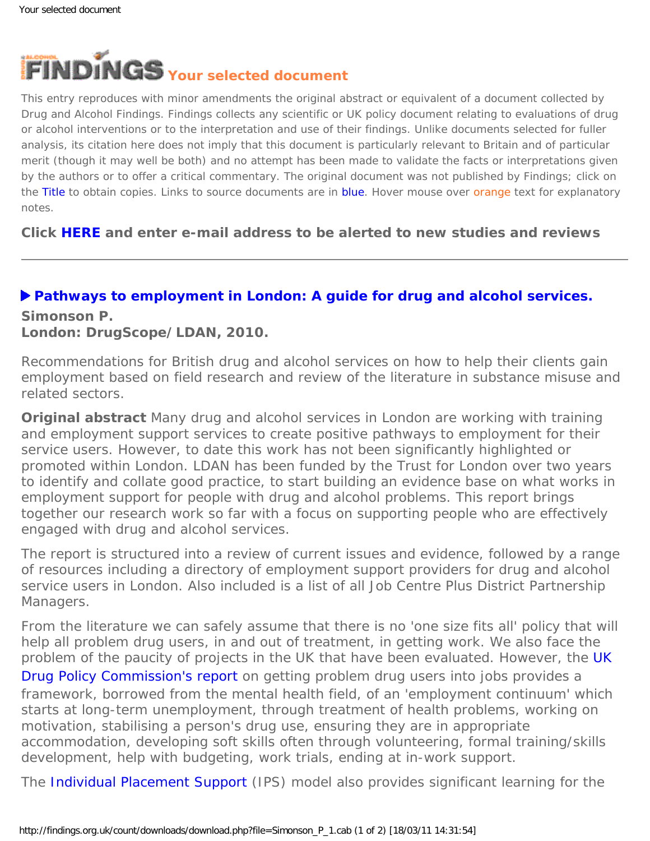

This entry reproduces with minor amendments the original abstract or equivalent of a document collected by Drug and Alcohol Findings. Findings collects any scientific or UK policy document relating to evaluations of drug or alcohol interventions or to the interpretation and use of their findings. Unlike documents selected for fuller analysis, its citation here does not imply that this document is particularly relevant to Britain and of particular merit (though it may well be both) and no attempt has been made to validate the facts or interpretations given by the authors or to offer a critical commentary. The original document was not published by Findings; click on the Title to obtain copies. Links to source documents are in blue. Hover mouse over orange text for explanatory notes.

**Click [HERE](https://findings.org.uk/index.php#signUp) and enter e-mail address to be alerted to new studies and reviews**

## **[Pathways to employment in London: A guide for drug and alcohol services.](http://www.drugscope.org.uk/Resources/Drugscope/Documents/PDF/Policy/employment-report-revised.pdf)**

## **Simonson P.**

**London: DrugScope/LDAN, 2010.**

Recommendations for British drug and alcohol services on how to help their clients gain employment based on field research and review of the literature in substance misuse and related sectors.

**Original abstract** Many drug and alcohol services in London are working with training and employment support services to create positive pathways to employment for their service users. However, to date this work has not been significantly highlighted or promoted within London. LDAN has been funded by the Trust for London over two years to identify and collate good practice, to start building an evidence base on what works in employment support for people with drug and alcohol problems. This report brings together our research work so far with a focus on supporting people who are effectively engaged with drug and alcohol services.

The report is structured into a review of current issues and evidence, followed by a range of resources including a directory of employment support providers for drug and alcohol service users in London. Also included is a list of all Job Centre Plus District Partnership Managers.

From the literature we can safely assume that there is no 'one size fits all' policy that will help all problem drug users, in and out of treatment, in getting work. We also face the problem of the paucity of projects in the [UK](http://www.ukdpc.org.uk/resources/Working_Towards_Recovery.pdf) that have been evaluated. However, the UK [Drug Policy Commission's report](http://www.ukdpc.org.uk/resources/Working_Towards_Recovery.pdf) on getting problem drug users into jobs provides a framework, borrowed from the mental health field, of an 'employment continuum' which starts at long-term unemployment, through treatment of health problems, working on motivation, stabilising a person's drug use, ensuring they are in appropriate accommodation, developing soft skills often through volunteering, formal training/skills development, help with budgeting, work trials, ending at in-work support.

The [Individual Placement Support](http://www.centreformentalhealth.org.uk/pdfs/briefing37_doing_what_works.pdf) (IPS) model also provides significant learning for the